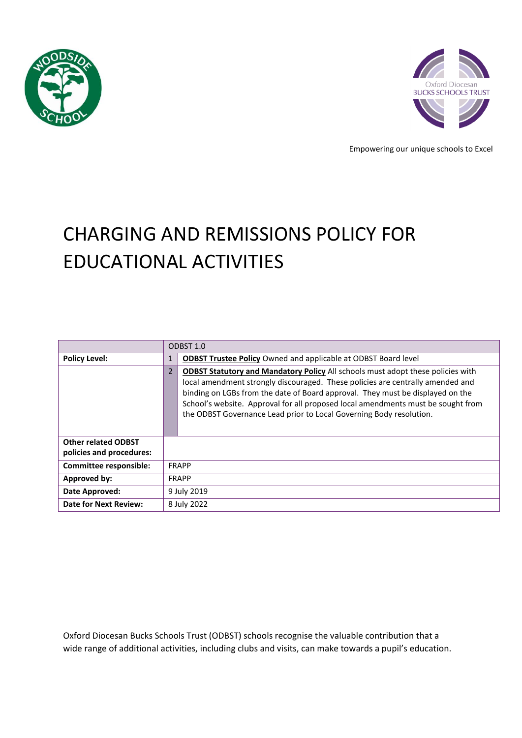



Empowering our unique schools to Excel

# CHARGING AND REMISSIONS POLICY FOR EDUCATIONAL ACTIVITIES

|                                                        | ODBST 1.0      |                                                                                                                                                                                                                                                                                                                                                                                                                       |
|--------------------------------------------------------|----------------|-----------------------------------------------------------------------------------------------------------------------------------------------------------------------------------------------------------------------------------------------------------------------------------------------------------------------------------------------------------------------------------------------------------------------|
| <b>Policy Level:</b>                                   | 1              | <b>ODBST Trustee Policy Owned and applicable at ODBST Board level</b>                                                                                                                                                                                                                                                                                                                                                 |
|                                                        | $\overline{2}$ | <b>ODBST Statutory and Mandatory Policy All schools must adopt these policies with</b><br>local amendment strongly discouraged. These policies are centrally amended and<br>binding on LGBs from the date of Board approval. They must be displayed on the<br>School's website. Approval for all proposed local amendments must be sought from<br>the ODBST Governance Lead prior to Local Governing Body resolution. |
| <b>Other related ODBST</b><br>policies and procedures: |                |                                                                                                                                                                                                                                                                                                                                                                                                                       |
| Committee responsible:                                 | <b>FRAPP</b>   |                                                                                                                                                                                                                                                                                                                                                                                                                       |
| Approved by:                                           | <b>FRAPP</b>   |                                                                                                                                                                                                                                                                                                                                                                                                                       |
| Date Approved:                                         | 9 July 2019    |                                                                                                                                                                                                                                                                                                                                                                                                                       |
| <b>Date for Next Review:</b>                           | 8 July 2022    |                                                                                                                                                                                                                                                                                                                                                                                                                       |

Oxford Diocesan Bucks Schools Trust (ODBST) schools recognise the valuable contribution that a wide range of additional activities, including clubs and visits, can make towards a pupil's education.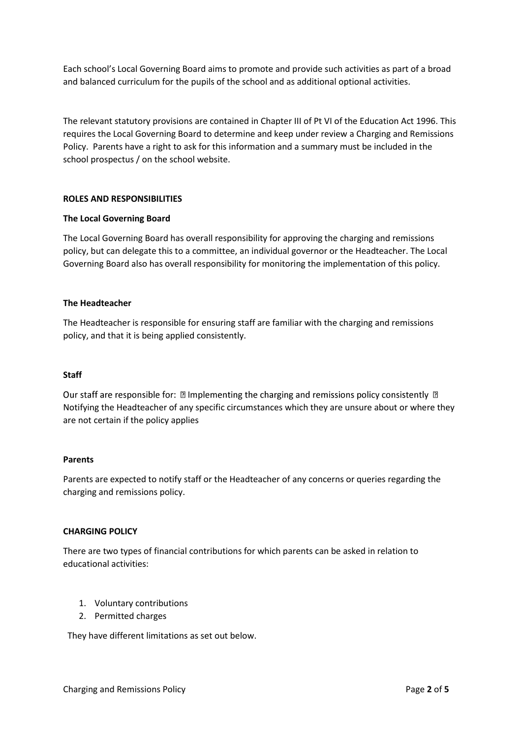Each school's Local Governing Board aims to promote and provide such activities as part of a broad and balanced curriculum for the pupils of the school and as additional optional activities.

The relevant statutory provisions are contained in Chapter III of Pt VI of the Education Act 1996. This requires the Local Governing Board to determine and keep under review a Charging and Remissions Policy. Parents have a right to ask for this information and a summary must be included in the school prospectus / on the school website.

#### **ROLES AND RESPONSIBILITIES**

#### **The Local Governing Board**

The Local Governing Board has overall responsibility for approving the charging and remissions policy, but can delegate this to a committee, an individual governor or the Headteacher. The Local Governing Board also has overall responsibility for monitoring the implementation of this policy.

#### **The Headteacher**

The Headteacher is responsible for ensuring staff are familiar with the charging and remissions policy, and that it is being applied consistently.

#### **Staff**

Our staff are responsible for:  $\mathbb D$  Implementing the charging and remissions policy consistently  $\mathbb D$ Notifying the Headteacher of any specific circumstances which they are unsure about or where they are not certain if the policy applies

#### **Parents**

Parents are expected to notify staff or the Headteacher of any concerns or queries regarding the charging and remissions policy.

#### **CHARGING POLICY**

There are two types of financial contributions for which parents can be asked in relation to educational activities:

- 1. Voluntary contributions
- 2. Permitted charges

They have different limitations as set out below.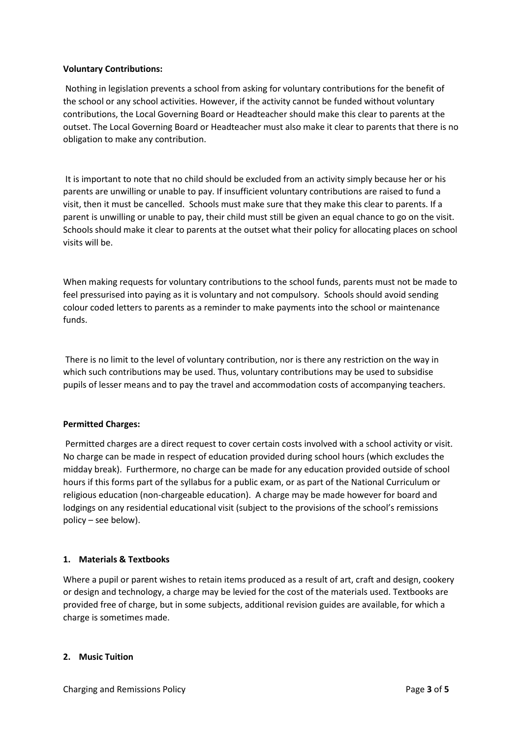#### **Voluntary Contributions:**

Nothing in legislation prevents a school from asking for voluntary contributions for the benefit of the school or any school activities. However, if the activity cannot be funded without voluntary contributions, the Local Governing Board or Headteacher should make this clear to parents at the outset. The Local Governing Board or Headteacher must also make it clear to parents that there is no obligation to make any contribution.

It is important to note that no child should be excluded from an activity simply because her or his parents are unwilling or unable to pay. If insufficient voluntary contributions are raised to fund a visit, then it must be cancelled. Schools must make sure that they make this clear to parents. If a parent is unwilling or unable to pay, their child must still be given an equal chance to go on the visit. Schools should make it clear to parents at the outset what their policy for allocating places on school visits will be.

When making requests for voluntary contributions to the school funds, parents must not be made to feel pressurised into paying as it is voluntary and not compulsory. Schools should avoid sending colour coded letters to parents as a reminder to make payments into the school or maintenance funds.

There is no limit to the level of voluntary contribution, nor is there any restriction on the way in which such contributions may be used. Thus, voluntary contributions may be used to subsidise pupils of lesser means and to pay the travel and accommodation costs of accompanying teachers.

# **Permitted Charges:**

Permitted charges are a direct request to cover certain costs involved with a school activity or visit. No charge can be made in respect of education provided during school hours (which excludes the midday break). Furthermore, no charge can be made for any education provided outside of school hours if this forms part of the syllabus for a public exam, or as part of the National Curriculum or religious education (non-chargeable education). A charge may be made however for board and lodgings on any residential educational visit (subject to the provisions of the school's remissions policy – see below).

# **1. Materials & Textbooks**

Where a pupil or parent wishes to retain items produced as a result of art, craft and design, cookery or design and technology, a charge may be levied for the cost of the materials used. Textbooks are provided free of charge, but in some subjects, additional revision guides are available, for which a charge is sometimes made.

#### **2. Music Tuition**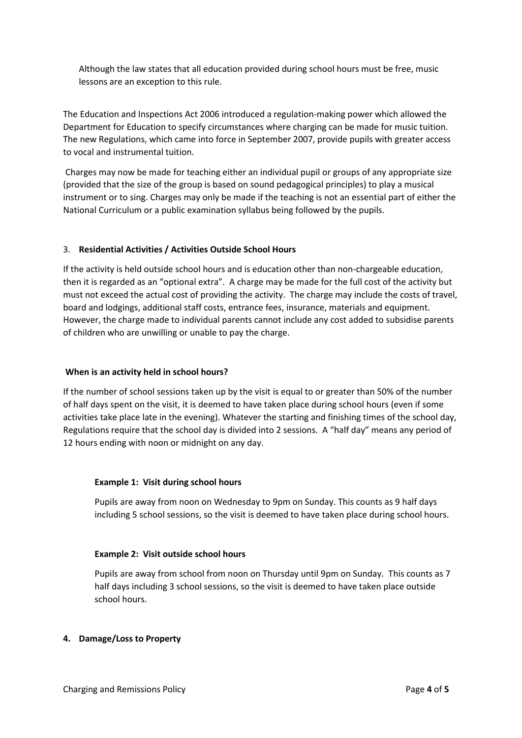Although the law states that all education provided during school hours must be free, music lessons are an exception to this rule.

The Education and Inspections Act 2006 introduced a regulation-making power which allowed the Department for Education to specify circumstances where charging can be made for music tuition. The new Regulations, which came into force in September 2007, provide pupils with greater access to vocal and instrumental tuition.

Charges may now be made for teaching either an individual pupil or groups of any appropriate size (provided that the size of the group is based on sound pedagogical principles) to play a musical instrument or to sing. Charges may only be made if the teaching is not an essential part of either the National Curriculum or a public examination syllabus being followed by the pupils.

## 3. **Residential Activities / Activities Outside School Hours**

If the activity is held outside school hours and is education other than non-chargeable education, then it is regarded as an "optional extra". A charge may be made for the full cost of the activity but must not exceed the actual cost of providing the activity. The charge may include the costs of travel, board and lodgings, additional staff costs, entrance fees, insurance, materials and equipment. However, the charge made to individual parents cannot include any cost added to subsidise parents of children who are unwilling or unable to pay the charge.

#### **When is an activity held in school hours?**

If the number of school sessions taken up by the visit is equal to or greater than 50% of the number of half days spent on the visit, it is deemed to have taken place during school hours (even if some activities take place late in the evening). Whatever the starting and finishing times of the school day, Regulations require that the school day is divided into 2 sessions. A "half day" means any period of 12 hours ending with noon or midnight on any day.

#### **Example 1: Visit during school hours**

Pupils are away from noon on Wednesday to 9pm on Sunday. This counts as 9 half days including 5 school sessions, so the visit is deemed to have taken place during school hours.

#### **Example 2: Visit outside school hours**

Pupils are away from school from noon on Thursday until 9pm on Sunday. This counts as 7 half days including 3 school sessions, so the visit is deemed to have taken place outside school hours.

#### **4. Damage/Loss to Property**